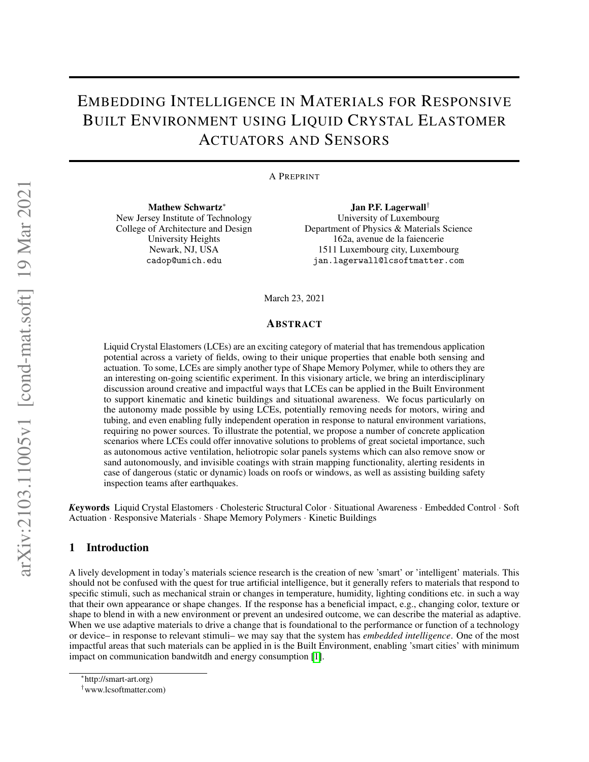# EMBEDDING INTELLIGENCE IN MATERIALS FOR RESPONSIVE BUILT ENVIRONMENT USING LIQUID CRYSTAL ELASTOMER ACTUATORS AND SENSORS

#### A PREPRINT

Mathew Schwartz\* New Jersey Institute of Technology College of Architecture and Design University Heights Newark, NJ, USA cadop@umich.edu

Jan P.F. Lagerwall*†* University of Luxembourg Department of Physics & Materials Science 162a, avenue de la faiencerie 1511 Luxembourg city, Luxembourg jan.lagerwall@lcsoftmatter.com

March 23, 2021

#### ABSTRACT

Liquid Crystal Elastomers (LCEs) are an exciting category of material that has tremendous application potential across a variety of fields, owing to their unique properties that enable both sensing and actuation. To some, LCEs are simply another type of Shape Memory Polymer, while to others they are an interesting on-going scientific experiment. In this visionary article, we bring an interdisciplinary discussion around creative and impactful ways that LCEs can be applied in the Built Environment to support kinematic and kinetic buildings and situational awareness. We focus particularly on the autonomy made possible by using LCEs, potentially removing needs for motors, wiring and tubing, and even enabling fully independent operation in response to natural environment variations, requiring no power sources. To illustrate the potential, we propose a number of concrete application scenarios where LCEs could offer innovative solutions to problems of great societal importance, such as autonomous active ventilation, heliotropic solar panels systems which can also remove snow or sand autonomously, and invisible coatings with strain mapping functionality, alerting residents in case of dangerous (static or dynamic) loads on roofs or windows, as well as assisting building safety inspection teams after earthquakes.

*K*eywords Liquid Crystal Elastomers *·* Cholesteric Structural Color *·* Situational Awareness *·* Embedded Control *·* Soft Actuation *·* Responsive Materials *·* Shape Memory Polymers *·* Kinetic Buildings

#### 1 Introduction

A lively development in today's materials science research is the creation of new 'smart' or 'intelligent' materials. This should not be confused with the quest for true artificial intelligence, but it generally refers to materials that respond to specific stimuli, such as mechanical strain or changes in temperature, humidity, lighting conditions etc. in such a way that their own appearance or shape changes. If the response has a beneficial impact, e.g., changing color, texture or shape to blend in with a new environment or prevent an undesired outcome, we can describe the material as adaptive. When we use adaptive materials to drive a change that is foundational to the performance or function of a technology or device– in response to relevant stimuli– we may say that the system has *embedded intelligence*. One of the most impactful areas that such materials can be applied in is the Built Environment, enabling 'smart cities' with minimum impact on communication bandwitdh and energy consumption  $\llbracket \mathbf{l} \rrbracket$ .

http://smart-art.org)

*<sup>†</sup>*www.lcsoftmatter.com)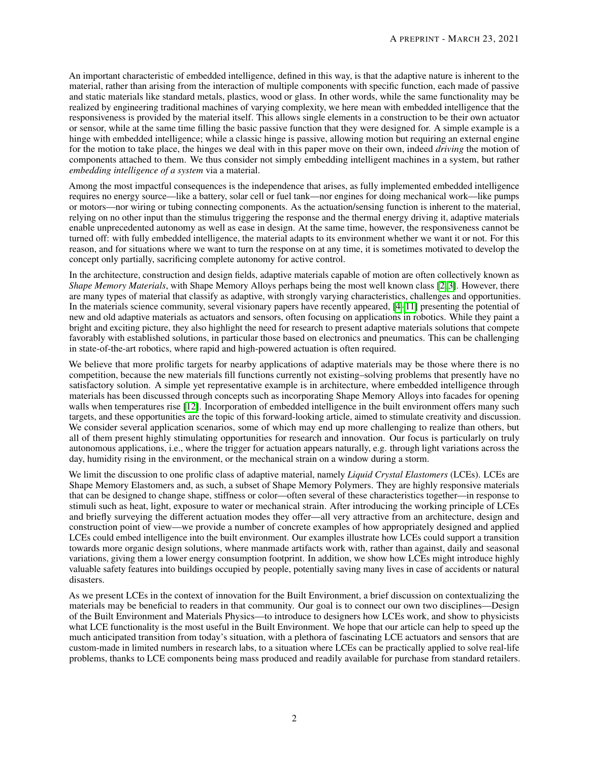An important characteristic of embedded intelligence, defined in this way, is that the adaptive nature is inherent to the material, rather than arising from the interaction of multiple components with specific function, each made of passive and static materials like standard metals, plastics, wood or glass. In other words, while the same functionality may be realized by engineering traditional machines of varying complexity, we here mean with embedded intelligence that the responsiveness is provided by the material itself. This allows single elements in a construction to be their own actuator or sensor, while at the same time filling the basic passive function that they were designed for. A simple example is a hinge with embedded intelligence; while a classic hinge is passive, allowing motion but requiring an external engine for the motion to take place, the hinges we deal with in this paper move on their own, indeed *driving* the motion of components attached to them. We thus consider not simply embedding intelligent machines in a system, but rather *embedding intelligence of a system* via a material.

Among the most impactful consequences is the independence that arises, as fully implemented embedded intelligence requires no energy source—like a battery, solar cell or fuel tank—nor engines for doing mechanical work—like pumps or motors—nor wiring or tubing connecting components. As the actuation/sensing function is inherent to the material, relying on no other input than the stimulus triggering the response and the thermal energy driving it, adaptive materials enable unprecedented autonomy as well as ease in design. At the same time, however, the responsiveness cannot be turned off: with fully embedded intelligence, the material adapts to its environment whether we want it or not. For this reason, and for situations where we want to turn the response on at any time, it is sometimes motivated to develop the concept only partially, sacrificing complete autonomy for active control.

In the architecture, construction and design fields, adaptive materials capable of motion are often collectively known as *Shape Memory Materials*, with Shape Memory Alloys perhaps being the most well known class [\[2,](#page-12-1) [3\]](#page-12-2). However, there are many types of material that classify as adaptive, with strongly varying characteristics, challenges and opportunities. In the materials science community, several visionary papers have recently appeared,  $[4]$  $[4]$ - $[1]$  presenting the potential of new and old adaptive materials as actuators and sensors, often focusing on applications in robotics. While they paint a bright and exciting picture, they also highlight the need for research to present adaptive materials solutions that compete favorably with established solutions, in particular those based on electronics and pneumatics. This can be challenging in state-of-the-art robotics, where rapid and high-powered actuation is often required.

We believe that more prolific targets for nearby applications of adaptive materials may be those where there is no competition, because the new materials fill functions currently not existing–solving problems that presently have no satisfactory solution. A simple yet representative example is in architecture, where embedded intelligence through materials has been discussed through concepts such as incorporating Shape Memory Alloys into facades for opening walls when temperatures rise  $\sqrt{2}$ . Incorporation of embedded intelligence in the built environment offers many such targets, and these opportunities are the topic of this forward-looking article, aimed to stimulate creativity and discussion. We consider several application scenarios, some of which may end up more challenging to realize than others, but all of them present highly stimulating opportunities for research and innovation. Our focus is particularly on truly autonomous applications, i.e., where the trigger for actuation appears naturally, e.g. through light variations across the day, humidity rising in the environment, or the mechanical strain on a window during a storm.

We limit the discussion to one prolific class of adaptive material, namely *Liquid Crystal Elastomers* (LCEs). LCEs are Shape Memory Elastomers and, as such, a subset of Shape Memory Polymers. They are highly responsive materials that can be designed to change shape, stiffness or color—often several of these characteristics together—in response to stimuli such as heat, light, exposure to water or mechanical strain. After introducing the working principle of LCEs and briefly surveying the different actuation modes they offer—all very attractive from an architecture, design and construction point of view—we provide a number of concrete examples of how appropriately designed and applied LCEs could embed intelligence into the built environment. Our examples illustrate how LCEs could support a transition towards more organic design solutions, where manmade artifacts work with, rather than against, daily and seasonal variations, giving them a lower energy consumption footprint. In addition, we show how LCEs might introduce highly valuable safety features into buildings occupied by people, potentially saving many lives in case of accidents or natural disasters.

As we present LCEs in the context of innovation for the Built Environment, a brief discussion on contextualizing the materials may be beneficial to readers in that community. Our goal is to connect our own two disciplines—Design of the Built Environment and Materials Physics—to introduce to designers how LCEs work, and show to physicists what LCE functionality is the most useful in the Built Environment. We hope that our article can help to speed up the much anticipated transition from today's situation, with a plethora of fascinating LCE actuators and sensors that are custom-made in limited numbers in research labs, to a situation where LCEs can be practically applied to solve real-life problems, thanks to LCE components being mass produced and readily available for purchase from standard retailers.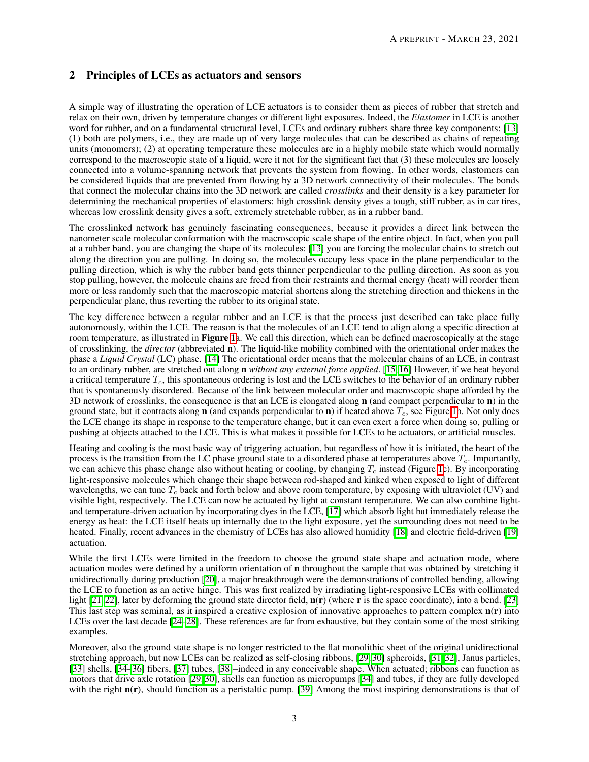## 2 Principles of LCEs as actuators and sensors

A simple way of illustrating the operation of LCE actuators is to consider them as pieces of rubber that stretch and relax on their own, driven by temperature changes or different light exposures. Indeed, the *Elastomer* in LCE is another word for rubber, and on a fundamental structural level, LCEs and ordinary rubbers share three key components: [\[13\]](#page-12-6) (1) both are polymers, i.e., they are made up of very large molecules that can be described as chains of repeating units (monomers); (2) at operating temperature these molecules are in a highly mobile state which would normally correspond to the macroscopic state of a liquid, were it not for the significant fact that (3) these molecules are loosely connected into a volume-spanning network that prevents the system from flowing. In other words, elastomers can be considered liquids that are prevented from flowing by a 3D network connectivity of their molecules. The bonds that connect the molecular chains into the 3D network are called *crosslinks* and their density is a key parameter for determining the mechanical properties of elastomers: high crosslink density gives a tough, stiff rubber, as in car tires, whereas low crosslink density gives a soft, extremely stretchable rubber, as in a rubber band.

The crosslinked network has genuinely fascinating consequences, because it provides a direct link between the nanometer scale molecular conformation with the macroscopic scale shape of the entire object. In fact, when you pull at a rubber band, you are changing the shape of its molecules: [\[13\]](#page-12-6) you are forcing the molecular chains to stretch out along the direction you are pulling. In doing so, the molecules occupy less space in the plane perpendicular to the pulling direction, which is why the rubber band gets thinner perpendicular to the pulling direction. As soon as you stop pulling, however, the molecule chains are freed from their restraints and thermal energy (heat) will reorder them more or less randomly such that the macroscopic material shortens along the stretching direction and thickens in the perpendicular plane, thus reverting the rubber to its original state.

The key difference between a regular rubber and an LCE is that the process just described can take place fully autonomously, within the LCE. The reason is that the molecules of an LCE tend to align along a specific direction at room temperature, as illustrated in Figure  $\mathbf{h}$ . We call this direction, which can be defined macroscopically at the stage of crosslinking, the *director* (abbreviated n). The liquid-like mobility combined with the orientational order makes the phase a *Liquid Crystal* (LC) phase. [\[14\]](#page-12-7) The orientational order means that the molecular chains of an LCE, in contrast to an ordinary rubber, are stretched out along n *without any external force applied*. [\[15,](#page-12-8) [16\]](#page-12-9) However, if we heat beyond a critical temperature *Tc*, this spontaneous ordering is lost and the LCE switches to the behavior of an ordinary rubber that is spontaneously disordered. Because of the link between molecular order and macroscopic shape afforded by the 3D network of crosslinks, the consequence is that an LCE is elongated along  $\bf{n}$  (and compact perpendicular to  $\bf{n}$ ) in the ground state, but it contracts along **n** (and expands perpendicular to **n**) if heated above  $T_c$ , see Figure  $\overline{[1]}$ . Not only does the LCE change its shape in response to the temperature change, but it can even exert a force when doing so, pulling or pushing at objects attached to the LCE. This is what makes it possible for LCEs to be actuators, or artificial muscles.

Heating and cooling is the most basic way of triggering actuation, but regardless of how it is initiated, the heart of the process is the transition from the LC phase ground state to a disordered phase at temperatures above *Tc*. Importantly, we can achieve this phase change also without heating or cooling, by changing  $T_c$  instead (Figure  $\prod$ c). By incorporating light-responsive molecules which change their shape between rod-shaped and kinked when exposed to light of different wavelengths, we can tune *T<sup>c</sup>* back and forth below and above room temperature, by exposing with ultraviolet (UV) and visible light, respectively. The LCE can now be actuated by light at constant temperature. We can also combine lightand temperature-driven actuation by incorporating dyes in the LCE,  $\overline{17}$  which absorb light but immediately release the energy as heat: the LCE itself heats up internally due to the light exposure, yet the surrounding does not need to be heated. Finally, recent advances in the chemistry of LCEs has also allowed humidity  $[18]$  and electric field-driven  $[19]$ actuation.

While the first LCEs were limited in the freedom to choose the ground state shape and actuation mode, where actuation modes were defined by a uniform orientation of n throughout the sample that was obtained by stretching it unidirectionally during production [\[20\]](#page-12-13), a major breakthrough were the demonstrations of controlled bending, allowing the LCE to function as an active hinge. This was first realized by irradiating light-responsive LCEs with collimated light  $[21, 22]$  $[21, 22]$ , later by deforming the ground state director field,  $n(r)$  (where r is the space coordinate), into a bend.  $[23]$ This last step was seminal, as it inspired a creative explosion of innovative approaches to pattern complex  $n(r)$  into LCEs over the last decade  $[24]$  $[24]$ - $[28]$ . These references are far from exhaustive, but they contain some of the most striking examples.

Moreover, also the ground state shape is no longer restricted to the flat monolithic sheet of the original unidirectional stretching approach, but now LCEs can be realized as self-closing ribbons,  $[29, 30]$  $[29, 30]$  spheroids,  $[31, 32]$  $[31, 32]$ , Janus particles, [\[33\]](#page-13-8) shells, [\[34](#page-13-9)[–36\]](#page-13-10) fibers, [\[37\]](#page-13-11) tubes, [\[38\]](#page-13-12)–indeed in any conceivable shape. When actuated; ribbons can function as motors that drive axle rotation  $[29, 30]$  $[29, 30]$ , shells can function as micropumps  $[34]$  and tubes, if they are fully developed with the right  $n(r)$ , should function as a peristaltic pump. [\[39\]](#page-13-13) Among the most inspiring demonstrations is that of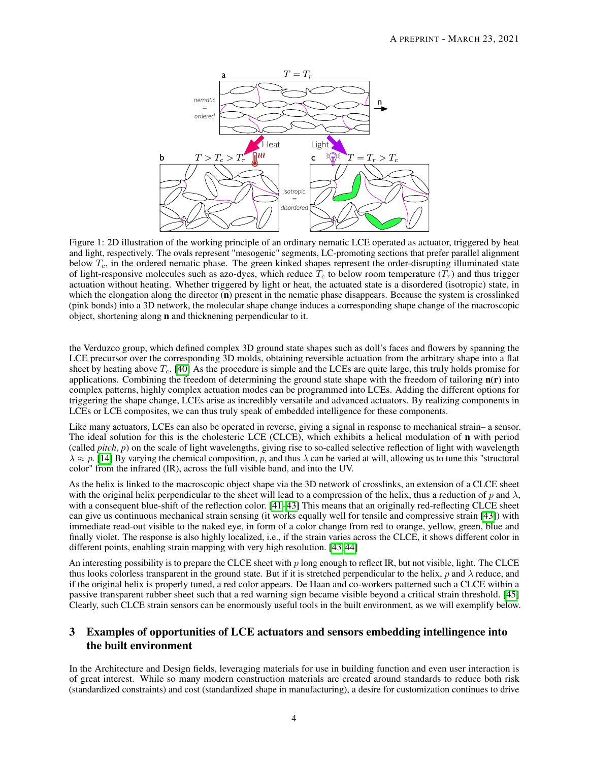<span id="page-3-0"></span>

Figure 1: 2D illustration of the working principle of an ordinary nematic LCE operated as actuator, triggered by heat and light, respectively. The ovals represent "mesogenic" segments, LC-promoting sections that prefer parallel alignment below *Tc*, in the ordered nematic phase. The green kinked shapes represent the order-disrupting illuminated state of light-responsive molecules such as azo-dyes, which reduce  $T_c$  to below room temperature  $(T_r)$  and thus trigger actuation without heating. Whether triggered by light or heat, the actuated state is a disordered (isotropic) state, in which the elongation along the director  $(n)$  present in the nematic phase disappears. Because the system is crosslinked (pink bonds) into a 3D network, the molecular shape change induces a corresponding shape change of the macroscopic object, shortening along n and thicknening perpendicular to it.

the Verduzco group, which defined complex 3D ground state shapes such as doll's faces and flowers by spanning the LCE precursor over the corresponding 3D molds, obtaining reversible actuation from the arbitrary shape into a flat sheet by heating above  $T_c$ .  $[40]$  As the procedure is simple and the LCEs are quite large, this truly holds promise for applications. Combining the freedom of determining the ground state shape with the freedom of tailoring  $n(r)$  into complex patterns, highly complex actuation modes can be programmed into LCEs. Adding the different options for triggering the shape change, LCEs arise as incredibly versatile and advanced actuators. By realizing components in LCEs or LCE composites, we can thus truly speak of embedded intelligence for these components.

Like many actuators, LCEs can also be operated in reverse, giving a signal in response to mechanical strain– a sensor. The ideal solution for this is the cholesteric LCE (CLCE), which exhibits a helical modulation of n with period (called *pitch*, *p*) on the scale of light wavelengths, giving rise to so-called selective reflection of light with wavelength  $\lambda \approx p$ . [\[14\]](#page-12-7) By varying the chemical composition, p, and thus  $\lambda$  can be varied at will, allowing us to tune this "structural" color" from the infrared (IR), across the full visible band, and into the UV.

As the helix is linked to the macroscopic object shape via the 3D network of crosslinks, an extension of a CLCE sheet with the original helix perpendicular to the sheet will lead to a compression of the helix, thus a reduction of p and  $\lambda$ , with a consequent blue-shift of the reflection color.  $[41]$  $[41]$ - $[43]$  This means that an originally red-reflecting CLCE sheet can give us continuous mechanical strain sensing (it works equally well for tensile and compressive strain  $[43]$ ) with immediate read-out visible to the naked eye, in form of a color change from red to orange, yellow, green, blue and finally violet. The response is also highly localized, i.e., if the strain varies across the CLCE, it shows different color in different points, enabling strain mapping with very high resolution.  $[43, 44]$  $[43, 44]$ 

An interesting possibility is to prepare the CLCE sheet with *p* long enough to reflect IR, but not visible, light. The CLCE thus looks colorless transparent in the ground state. But if it is stretched perpendicular to the helix,  $p$  and  $\lambda$  reduce, and if the original helix is properly tuned, a red color appears. De Haan and co-workers patterned such a CLCE within a passive transparent rubber sheet such that a red warning sign became visible beyond a critical strain threshold. [\[45\]](#page-14-2) Clearly, such CLCE strain sensors can be enormously useful tools in the built environment, as we will exemplify below.

## 3 Examples of opportunities of LCE actuators and sensors embedding intellingence into the built environment

In the Architecture and Design fields, leveraging materials for use in building function and even user interaction is of great interest. While so many modern construction materials are created around standards to reduce both risk (standardized constraints) and cost (standardized shape in manufacturing), a desire for customization continues to drive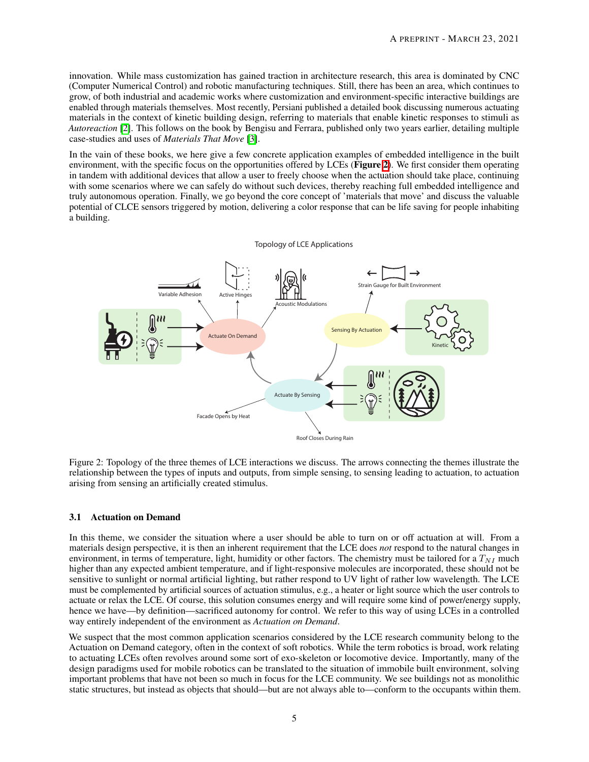innovation. While mass customization has gained traction in architecture research, this area is dominated by CNC (Computer Numerical Control) and robotic manufacturing techniques. Still, there has been an area, which continues to grow, of both industrial and academic works where customization and environment-specific interactive buildings are enabled through materials themselves. Most recently, Persiani published a detailed book discussing numerous actuating materials in the context of kinetic building design, referring to materials that enable kinetic responses to stimuli as *Autoreaction* [\[2\]](#page-12-1). This follows on the book by Bengisu and Ferrara, published only two years earlier, detailing multiple case-studies and uses of *Materials That Move* [\[3\]](#page-12-2).

In the vain of these books, we here give a few concrete application examples of embedded intelligence in the built environment, with the specific focus on the opportunities offered by LCEs (Figure  $\overline{2}$ ). We first consider them operating in tandem with additional devices that allow a user to freely choose when the actuation should take place, continuing with some scenarios where we can safely do without such devices, thereby reaching full embedded intelligence and truly autonomous operation. Finally, we go beyond the core concept of 'materials that move' and discuss the valuable potential of CLCE sensors triggered by motion, delivering a color response that can be life saving for people inhabiting a building.

<span id="page-4-0"></span>

Figure 2: Topology of the three themes of LCE interactions we discuss. The arrows connecting the themes illustrate the relationship between the types of inputs and outputs, from simple sensing, to sensing leading to actuation, to actuation arising from sensing an artificially created stimulus.

#### 3.1 Actuation on Demand

In this theme, we consider the situation where a user should be able to turn on or off actuation at will. From a materials design perspective, it is then an inherent requirement that the LCE does *not* respond to the natural changes in environment, in terms of temperature, light, humidity or other factors. The chemistry must be tailored for a  $T_{NI}$  much higher than any expected ambient temperature, and if light-responsive molecules are incorporated, these should not be sensitive to sunlight or normal artificial lighting, but rather respond to UV light of rather low wavelength. The LCE must be complemented by artificial sources of actuation stimulus, e.g., a heater or light source which the user controls to actuate or relax the LCE. Of course, this solution consumes energy and will require some kind of power/energy supply, hence we have—by definition—sacrificed autonomy for control. We refer to this way of using LCEs in a controlled way entirely independent of the environment as *Actuation on Demand*.

We suspect that the most common application scenarios considered by the LCE research community belong to the Actuation on Demand category, often in the context of soft robotics. While the term robotics is broad, work relating to actuating LCEs often revolves around some sort of exo-skeleton or locomotive device. Importantly, many of the design paradigms used for mobile robotics can be translated to the situation of immobile built environment, solving important problems that have not been so much in focus for the LCE community. We see buildings not as monolithic static structures, but instead as objects that should—but are not always able to—conform to the occupants within them.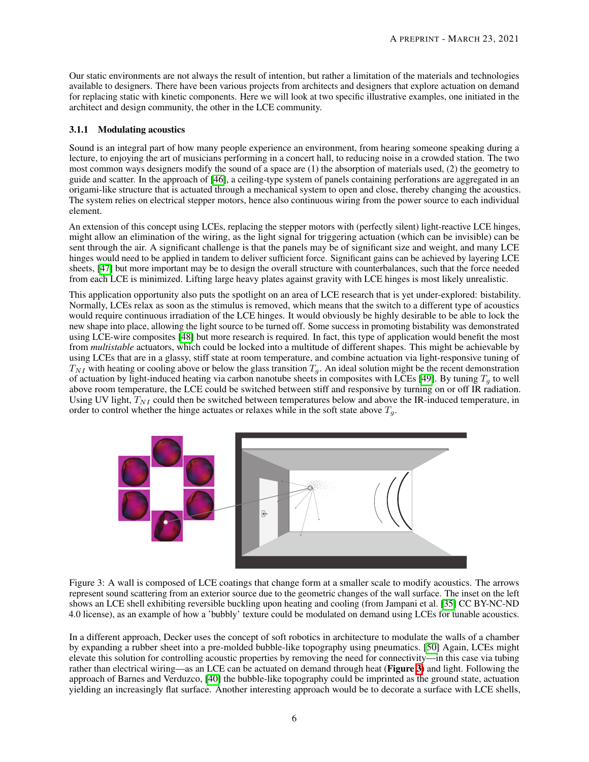Our static environments are not always the result of intention, but rather a limitation of the materials and technologies available to designers. There have been various projects from architects and designers that explore actuation on demand for replacing static with kinetic components. Here we will look at two specific illustrative examples, one initiated in the architect and design community, the other in the LCE community.

#### 3.1.1 Modulating acoustics

Sound is an integral part of how many people experience an environment, from hearing someone speaking during a lecture, to enjoying the art of musicians performing in a concert hall, to reducing noise in a crowded station. The two most common ways designers modify the sound of a space are (1) the absorption of materials used, (2) the geometry to guide and scatter. In the approach of [\[46\]](#page-14-3), a ceiling-type system of panels containing perforations are aggregated in an origami-like structure that is actuated through a mechanical system to open and close, thereby changing the acoustics. The system relies on electrical stepper motors, hence also continuous wiring from the power source to each individual element.

An extension of this concept using LCEs, replacing the stepper motors with (perfectly silent) light-reactive LCE hinges, might allow an elimination of the wiring, as the light signal for triggering actuation (which can be invisible) can be sent through the air. A significant challenge is that the panels may be of significant size and weight, and many LCE hinges would need to be applied in tandem to deliver sufficient force. Significant gains can be achieved by layering LCE sheets,  $\left|\frac{47}{1}\right|$  but more important may be to design the overall structure with counterbalances, such that the force needed from each LCE is minimized. Lifting large heavy plates against gravity with LCE hinges is most likely unrealistic.

This application opportunity also puts the spotlight on an area of LCE research that is yet under-explored: bistability. Normally, LCEs relax as soon as the stimulus is removed, which means that the switch to a different type of acoustics would require continuous irradiation of the LCE hinges. It would obviously be highly desirable to be able to lock the new shape into place, allowing the light source to be turned off. Some success in promoting bistability was demonstrated using LCE-wire composites [\[48\]](#page-14-5) but more research is required. In fact, this type of application would benefit the most from *multistable* actuators, which could be locked into a multitude of different shapes. This might be achievable by using LCEs that are in a glassy, stiff state at room temperature, and combine actuation via light-responsive tuning of  $T_{NI}$  with heating or cooling above or below the glass transition  $T_g$ . An ideal solution might be the recent demonstration of actuation by light-induced heating via carbon nanotube sheets in composites with LCEs  $[49]$ . By tuning  $T_q$  to well above room temperature, the LCE could be switched between stiff and responsive by turning on or off IR radiation. Using UV light,  $T_{NI}$  could then be switched between temperatures below and above the IR-induced temperature, in order to control whether the hinge actuates or relaxes while in the soft state above  $T<sub>g</sub>$ .

<span id="page-5-0"></span>

Figure 3: A wall is composed of LCE coatings that change form at a smaller scale to modify acoustics. The arrows represent sound scattering from an exterior source due to the geometric changes of the wall surface. The inset on the left shows an LCE shell exhibiting reversible buckling upon heating and cooling (from Jampani et al. [\[35\]](#page-13-16) CC BY-NC-ND 4.0 license), as an example of how a 'bubbly' texture could be modulated on demand using LCEs for tunable acoustics.

In a different approach, Decker uses the concept of soft robotics in architecture to modulate the walls of a chamber by expanding a rubber sheet into a pre-molded bubble-like topography using pneumatics. [\[50\]](#page-14-7) Again, LCEs might elevate this solution for controlling acoustic properties by removing the need for connectivity—in this case via tubing rather than electrical wiring—as an LCE can be actuated on demand through heat (**Figure**  $\overline{3}$ ) and light. Following the approach of Barnes and Verduzco,  $\sqrt{40}$  the bubble-like topography could be imprinted as the ground state, actuation yielding an increasingly flat surface. Another interesting approach would be to decorate a surface with LCE shells,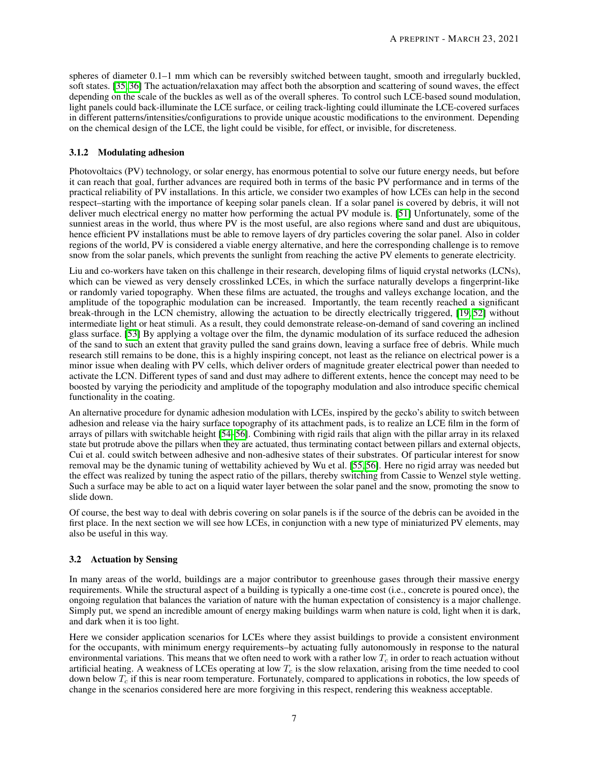spheres of diameter 0.1–1 mm which can be reversibly switched between taught, smooth and irregularly buckled, soft states. [\[35,](#page-13-16) [36\]](#page-13-10) The actuation/relaxation may affect both the absorption and scattering of sound waves, the effect depending on the scale of the buckles as well as of the overall spheres. To control such LCE-based sound modulation, light panels could back-illuminate the LCE surface, or ceiling track-lighting could illuminate the LCE-covered surfaces in different patterns/intensities/configurations to provide unique acoustic modifications to the environment. Depending on the chemical design of the LCE, the light could be visible, for effect, or invisible, for discreteness.

## 3.1.2 Modulating adhesion

Photovoltaics (PV) technology, or solar energy, has enormous potential to solve our future energy needs, but before it can reach that goal, further advances are required both in terms of the basic PV performance and in terms of the practical reliability of PV installations. In this article, we consider two examples of how LCEs can help in the second respect–starting with the importance of keeping solar panels clean. If a solar panel is covered by debris, it will not deliver much electrical energy no matter how performing the actual PV module is. [\[51\]](#page-14-8) Unfortunately, some of the sunniest areas in the world, thus where PV is the most useful, are also regions where sand and dust are ubiquitous, hence efficient PV installations must be able to remove layers of dry particles covering the solar panel. Also in colder regions of the world, PV is considered a viable energy alternative, and here the corresponding challenge is to remove snow from the solar panels, which prevents the sunlight from reaching the active PV elements to generate electricity.

Liu and co-workers have taken on this challenge in their research, developing films of liquid crystal networks (LCNs), which can be viewed as very densely crosslinked LCEs, in which the surface naturally develops a fingerprint-like or randomly varied topography. When these films are actuated, the troughs and valleys exchange location, and the amplitude of the topographic modulation can be increased. Importantly, the team recently reached a significant break-through in the LCN chemistry, allowing the actuation to be directly electrically triggered,  $[19, 52]$  $[19, 52]$  without intermediate light or heat stimuli. As a result, they could demonstrate release-on-demand of sand covering an inclined glass surface. [\[53\]](#page-14-10) By applying a voltage over the film, the dynamic modulation of its surface reduced the adhesion of the sand to such an extent that gravity pulled the sand grains down, leaving a surface free of debris. While much research still remains to be done, this is a highly inspiring concept, not least as the reliance on electrical power is a minor issue when dealing with PV cells, which deliver orders of magnitude greater electrical power than needed to activate the LCN. Different types of sand and dust may adhere to different extents, hence the concept may need to be boosted by varying the periodicity and amplitude of the topography modulation and also introduce specific chemical functionality in the coating.

An alternative procedure for dynamic adhesion modulation with LCEs, inspired by the gecko's ability to switch between adhesion and release via the hairy surface topography of its attachment pads, is to realize an LCE film in the form of arrays of pillars with switchable height  $[54]$  $[54]$ - $56$ . Combining with rigid rails that align with the pillar array in its relaxed state but protrude above the pillars when they are actuated, thus terminating contact between pillars and external objects, Cui et al. could switch between adhesive and non-adhesive states of their substrates. Of particular interest for snow removal may be the dynamic tuning of wettability achieved by Wu et al. [\[55,](#page-14-13) [56]. Here no rigid array was needed but the effect was realized by tuning the aspect ratio of the pillars, thereby switching from Cassie to Wenzel style wetting. Such a surface may be able to act on a liquid water layer between the solar panel and the snow, promoting the snow to slide down.

Of course, the best way to deal with debris covering on solar panels is if the source of the debris can be avoided in the first place. In the next section we will see how LCEs, in conjunction with a new type of miniaturized PV elements, may also be useful in this way.

## 3.2 Actuation by Sensing

In many areas of the world, buildings are a major contributor to greenhouse gases through their massive energy requirements. While the structural aspect of a building is typically a one-time cost (i.e., concrete is poured once), the ongoing regulation that balances the variation of nature with the human expectation of consistency is a major challenge. Simply put, we spend an incredible amount of energy making buildings warm when nature is cold, light when it is dark, and dark when it is too light.

Here we consider application scenarios for LCEs where they assist buildings to provide a consistent environment for the occupants, with minimum energy requirements–by actuating fully autonomously in response to the natural environmental variations. This means that we often need to work with a rather low *T<sup>c</sup>* in order to reach actuation without artificial heating. A weakness of LCEs operating at low *T<sup>c</sup>* is the slow relaxation, arising from the time needed to cool down below  $T_c$  if this is near room temperature. Fortunately, compared to applications in robotics, the low speeds of change in the scenarios considered here are more forgiving in this respect, rendering this weakness acceptable.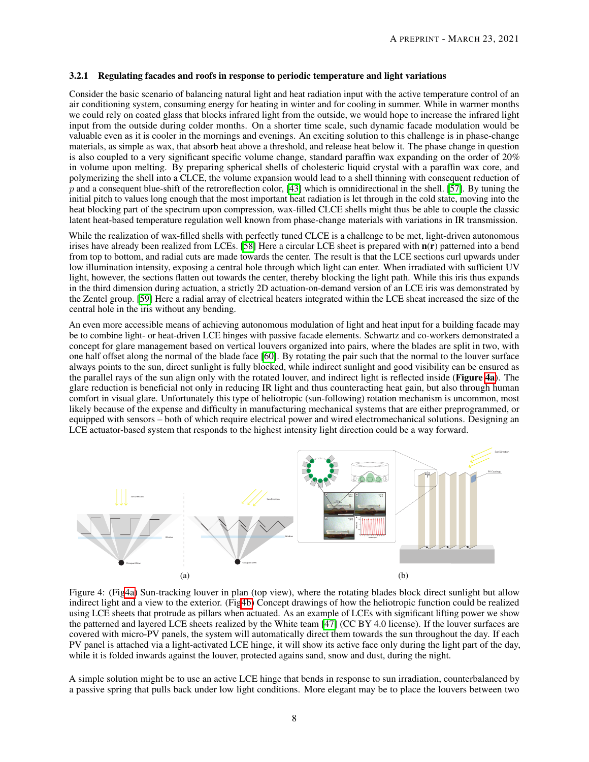#### 3.2.1 Regulating facades and roofs in response to periodic temperature and light variations

Consider the basic scenario of balancing natural light and heat radiation input with the active temperature control of an air conditioning system, consuming energy for heating in winter and for cooling in summer. While in warmer months we could rely on coated glass that blocks infrared light from the outside, we would hope to increase the infrared light input from the outside during colder months. On a shorter time scale, such dynamic facade modulation would be valuable even as it is cooler in the mornings and evenings. An exciting solution to this challenge is in phase-change materials, as simple as wax, that absorb heat above a threshold, and release heat below it. The phase change in question is also coupled to a very significant specific volume change, standard paraffin wax expanding on the order of 20% in volume upon melting. By preparing spherical shells of cholesteric liquid crystal with a paraffin wax core, and polymerizing the shell into a CLCE, the volume expansion would lead to a shell thinning with consequent reduction of *p* and a consequent blue-shift of the retroreflection color, [\[43\]](#page-14-0) which is omnidirectional in the shell. [\[57\]](#page-14-14). By tuning the initial pitch to values long enough that the most important heat radiation is let through in the cold state, moving into the heat blocking part of the spectrum upon compression, wax-filled CLCE shells might thus be able to couple the classic latent heat-based temperature regulation well known from phase-change materials with variations in IR transmission.

While the realization of wax-filled shells with perfectly tuned CLCE is a challenge to be met, light-driven autonomous irises have already been realized from LCEs.  $\sqrt{58}$  Here a circular LCE sheet is prepared with  $n(r)$  patterned into a bend from top to bottom, and radial cuts are made towards the center. The result is that the LCE sections curl upwards under low illumination intensity, exposing a central hole through which light can enter. When irradiated with sufficient UV light, however, the sections flatten out towards the center, thereby blocking the light path. While this iris thus expands in the third dimension during actuation, a strictly 2D actuation-on-demand version of an LCE iris was demonstrated by the Zentel group. [\[59\]](#page-14-16) Here a radial array of electrical heaters integrated within the LCE sheat increased the size of the central hole in the iris without any bending.

An even more accessible means of achieving autonomous modulation of light and heat input for a building facade may be to combine light- or heat-driven LCE hinges with passive facade elements. Schwartz and co-workers demonstrated a concept for glare management based on vertical louvers organized into pairs, where the blades are split in two, with one half offset along the normal of the blade face  $\overline{[60]}$  $\overline{[60]}$  $\overline{[60]}$ . By rotating the pair such that the normal to the louver surface always points to the sun, direct sunlight is fully blocked, while indirect sunlight and good visibility can be ensured as the parallel rays of the sun align only with the rotated louver, and indirect light is reflected inside (Figure  $\overline{4a}$ ). The glare reduction is beneficial not only in reducing IR light and thus counteracting heat gain, but also through human comfort in visual glare. Unfortunately this type of heliotropic (sun-following) rotation mechanism is uncommon, most likely because of the expense and difficulty in manufacturing mechanical systems that are either preprogrammed, or equipped with sensors – both of which require electrical power and wired electromechanical solutions. Designing an LCE actuator-based system that responds to the highest intensity light direction could be a way forward.

<span id="page-7-0"></span>

Figure 4: (Fi[g4a\)](#page-7-0) Sun-tracking louver in plan (top view), where the rotating blades block direct sunlight but allow indirect light and a view to the exterior. (Fi[g4b\)](#page-7-0) Concept drawings of how the heliotropic function could be realized using LCE sheets that protrude as pillars when actuated. As an example of LCEs with significant lifting power we show the patterned and layered LCE sheets realized by the White team  $\overline{47}$  (CC BY 4.0 license). If the louver surfaces are covered with micro-PV panels, the system will automatically direct them towards the sun throughout the day. If each PV panel is attached via a light-activated LCE hinge, it will show its active face only during the light part of the day, while it is folded inwards against the louver, protected agains sand, snow and dust, during the night.

A simple solution might be to use an active LCE hinge that bends in response to sun irradiation, counterbalanced by a passive spring that pulls back under low light conditions. More elegant may be to place the louvers between two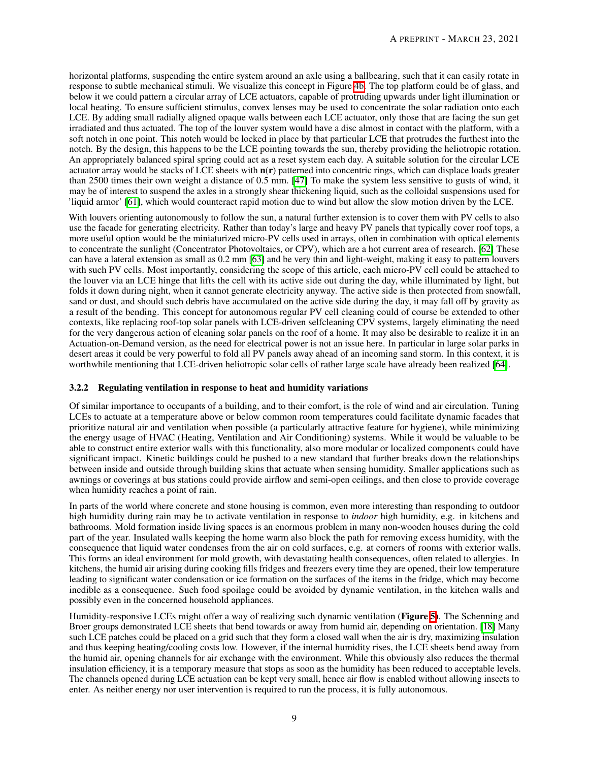horizontal platforms, suspending the entire system around an axle using a ballbearing, such that it can easily rotate in response to subtle mechanical stimuli. We visualize this concept in Figure  $\overline{4b}$ . The top platform could be of glass, and below it we could pattern a circular array of LCE actuators, capable of protruding upwards under light illumination or local heating. To ensure sufficient stimulus, convex lenses may be used to concentrate the solar radiation onto each LCE. By adding small radially aligned opaque walls between each LCE actuator, only those that are facing the sun get irradiated and thus actuated. The top of the louver system would have a disc almost in contact with the platform, with a soft notch in one point. This notch would be locked in place by that particular LCE that protrudes the furthest into the notch. By the design, this happens to be the LCE pointing towards the sun, thereby providing the heliotropic rotation. An appropriately balanced spiral spring could act as a reset system each day. A suitable solution for the circular LCE actuator array would be stacks of LCE sheets with  $n(r)$  patterned into concentric rings, which can displace loads greater than 2500 times their own weight a distance of 0.5 mm. [\[47\]](#page-14-4) To make the system less sensitive to gusts of wind, it may be of interest to suspend the axles in a strongly shear thickening liquid, such as the colloidal suspensions used for 'liquid armor' [\[61\]](#page-14-18), which would counteract rapid motion due to wind but allow the slow motion driven by the LCE.

With louvers orienting autonomously to follow the sun, a natural further extension is to cover them with PV cells to also use the facade for generating electricity. Rather than today's large and heavy PV panels that typically cover roof tops, a more useful option would be the miniaturized micro-PV cells used in arrays, often in combination with optical elements to concentrate the sunlight (Concentrator Photovoltaics, or CPV), which are a hot current area of research. [\[62\]](#page-14-19) These can have a lateral extension as small as 0.2 mm [\[63\]](#page-14-20) and be very thin and light-weight, making it easy to pattern louvers with such PV cells. Most importantly, considering the scope of this article, each micro-PV cell could be attached to the louver via an LCE hinge that lifts the cell with its active side out during the day, while illuminated by light, but folds it down during night, when it cannot generate electricity anyway. The active side is then protected from snowfall, sand or dust, and should such debris have accumulated on the active side during the day, it may fall off by gravity as a result of the bending. This concept for autonomous regular PV cell cleaning could of course be extended to other contexts, like replacing roof-top solar panels with LCE-driven selfcleaning CPV systems, largely eliminating the need for the very dangerous action of cleaning solar panels on the roof of a home. It may also be desirable to realize it in an Actuation-on-Demand version, as the need for electrical power is not an issue here. In particular in large solar parks in desert areas it could be very powerful to fold all PV panels away ahead of an incoming sand storm. In this context, it is worthwhile mentioning that LCE-driven heliotropic solar cells of rather large scale have already been realized [\[64\]](#page-15-0).

## 3.2.2 Regulating ventilation in response to heat and humidity variations

Of similar importance to occupants of a building, and to their comfort, is the role of wind and air circulation. Tuning LCEs to actuate at a temperature above or below common room temperatures could facilitate dynamic facades that prioritize natural air and ventilation when possible (a particularly attractive feature for hygiene), while minimizing the energy usage of HVAC (Heating, Ventilation and Air Conditioning) systems. While it would be valuable to be able to construct entire exterior walls with this functionality, also more modular or localized components could have significant impact. Kinetic buildings could be pushed to a new standard that further breaks down the relationships between inside and outside through building skins that actuate when sensing humidity. Smaller applications such as awnings or coverings at bus stations could provide airflow and semi-open ceilings, and then close to provide coverage when humidity reaches a point of rain.

In parts of the world where concrete and stone housing is common, even more interesting than responding to outdoor high humidity during rain may be to activate ventilation in response to *indoor* high humidity, e.g. in kitchens and bathrooms. Mold formation inside living spaces is an enormous problem in many non-wooden houses during the cold part of the year. Insulated walls keeping the home warm also block the path for removing excess humidity, with the consequence that liquid water condenses from the air on cold surfaces, e.g. at corners of rooms with exterior walls. This forms an ideal environment for mold growth, with devastating health consequences, often related to allergies. In kitchens, the humid air arising during cooking fills fridges and freezers every time they are opened, their low temperature leading to significant water condensation or ice formation on the surfaces of the items in the fridge, which may become inedible as a consequence. Such food spoilage could be avoided by dynamic ventilation, in the kitchen walls and possibly even in the concerned household appliances.

Humidity-responsive LCEs might offer a way of realizing such dynamic ventilation (**Figure** [5](#page-9-0)). The Schenning and Broer groups demonstrated LCE sheets that bend towards or away from humid air, depending on orientation. [\[18\]](#page-12-11) Many such LCE patches could be placed on a grid such that they form a closed wall when the air is dry, maximizing insulation and thus keeping heating/cooling costs low. However, if the internal humidity rises, the LCE sheets bend away from the humid air, opening channels for air exchange with the environment. While this obviously also reduces the thermal insulation efficiency, it is a temporary measure that stops as soon as the humidity has been reduced to acceptable levels. The channels opened during LCE actuation can be kept very small, hence air flow is enabled without allowing insects to enter. As neither energy nor user intervention is required to run the process, it is fully autonomous.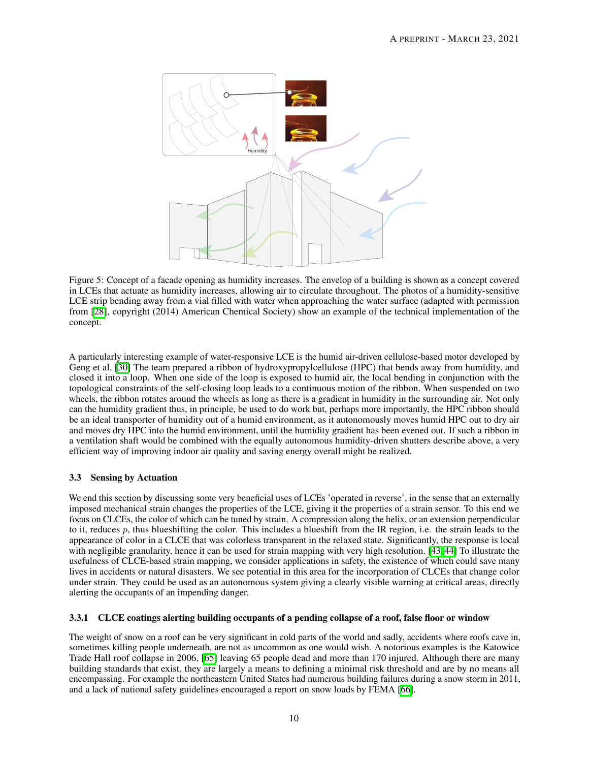<span id="page-9-0"></span>

Figure 5: Concept of a facade opening as humidity increases. The envelop of a building is shown as a concept covered in LCEs that actuate as humidity increases, allowing air to circulate throughout. The photos of a humidity-sensitive LCE strip bending away from a vial filled with water when approaching the water surface (adapted with permission from [\[28\]](#page-13-3), copyright (2014) American Chemical Society) show an example of the technical implementation of the concept.

A particularly interesting example of water-responsive LCE is the humid air-driven cellulose-based motor developed by Geng et al. [\[30\]](#page-13-5) The team prepared a ribbon of hydroxypropylcellulose (HPC) that bends away from humidity, and closed it into a loop. When one side of the loop is exposed to humid air, the local bending in conjunction with the topological constraints of the self-closing loop leads to a continuous motion of the ribbon. When suspended on two wheels, the ribbon rotates around the wheels as long as there is a gradient in humidity in the surrounding air. Not only can the humidity gradient thus, in principle, be used to do work but, perhaps more importantly, the HPC ribbon should be an ideal transporter of humidity out of a humid environment, as it autonomously moves humid HPC out to dry air and moves dry HPC into the humid environment, until the humidity gradient has been evened out. If such a ribbon in a ventilation shaft would be combined with the equally autonomous humidity-driven shutters describe above, a very efficient way of improving indoor air quality and saving energy overall might be realized.

## 3.3 Sensing by Actuation

We end this section by discussing some very beneficial uses of LCEs 'operated in reverse', in the sense that an externally imposed mechanical strain changes the properties of the LCE, giving it the properties of a strain sensor. To this end we focus on CLCEs, the color of which can be tuned by strain. A compression along the helix, or an extension perpendicular to it, reduces *p*, thus blueshifting the color. This includes a blueshift from the IR region, i.e. the strain leads to the appearance of color in a CLCE that was colorless transparent in the relaxed state. Significantly, the response is local with negligible granularity, hence it can be used for strain mapping with very high resolution.  $[43, 44]$  $[43, 44]$  To illustrate the usefulness of CLCE-based strain mapping, we consider applications in safety, the existence of which could save many lives in accidents or natural disasters. We see potential in this area for the incorporation of CLCEs that change color under strain. They could be used as an autonomous system giving a clearly visible warning at critical areas, directly alerting the occupants of an impending danger.

#### 3.3.1 CLCE coatings alerting building occupants of a pending collapse of a roof, false floor or window

The weight of snow on a roof can be very significant in cold parts of the world and sadly, accidents where roofs cave in, sometimes killing people underneath, are not as uncommon as one would wish. A notorious examples is the Katowice Trade Hall roof collapse in 2006, [\[65\]](#page-15-1) leaving 65 people dead and more than 170 injured. Although there are many building standards that exist, they are largely a means to defining a minimal risk threshold and are by no means all encompassing. For example the northeastern United States had numerous building failures during a snow storm in 2011, and a lack of national safety guidelines encouraged a report on snow loads by FEMA [\[66\]](#page-15-2).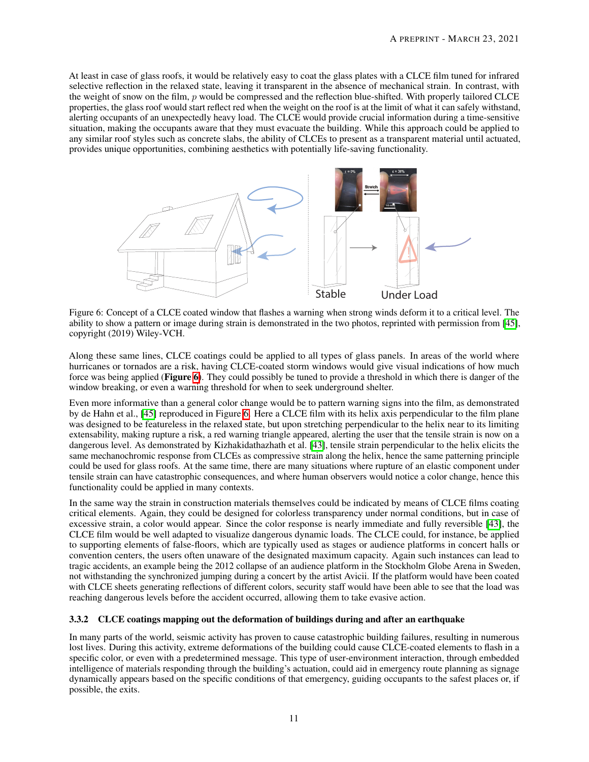At least in case of glass roofs, it would be relatively easy to coat the glass plates with a CLCE film tuned for infrared selective reflection in the relaxed state, leaving it transparent in the absence of mechanical strain. In contrast, with the weight of snow on the film, *p* would be compressed and the reflection blue-shifted. With properly tailored CLCE properties, the glass roof would start reflect red when the weight on the roof is at the limit of what it can safely withstand, alerting occupants of an unexpectedly heavy load. The CLCE would provide crucial information during a time-sensitive situation, making the occupants aware that they must evacuate the building. While this approach could be applied to any similar roof styles such as concrete slabs, the ability of CLCEs to present as a transparent material until actuated, provides unique opportunities, combining aesthetics with potentially life-saving functionality.

<span id="page-10-0"></span>

Figure 6: Concept of a CLCE coated window that flashes a warning when strong winds deform it to a critical level. The ability to show a pattern or image during strain is demonstrated in the two photos, reprinted with permission from [\[45\]](#page-14-2), copyright (2019) Wiley-VCH.

Along these same lines, CLCE coatings could be applied to all types of glass panels. In areas of the world where hurricanes or tornados are a risk, having CLCE-coated storm windows would give visual indications of how much force was being applied (Figure  $\overline{6}$ ). They could possibly be tuned to provide a threshold in which there is danger of the window breaking, or even a warning threshold for when to seek underground shelter.

Even more informative than a general color change would be to pattern warning signs into the film, as demonstrated by de Hahn et al.,  $\overline{45}$  reproduced in Figure [6.](#page-10-0) Here a CLCE film with its helix axis perpendicular to the film plane was designed to be featureless in the relaxed state, but upon stretching perpendicular to the helix near to its limiting extensability, making rupture a risk, a red warning triangle appeared, alerting the user that the tensile strain is now on a dangerous level. As demonstrated by Kizhakidathazhath et al. [\[43\]](#page-14-0), tensile strain perpendicular to the helix elicits the same mechanochromic response from CLCEs as compressive strain along the helix, hence the same patterning principle could be used for glass roofs. At the same time, there are many situations where rupture of an elastic component under tensile strain can have catastrophic consequences, and where human observers would notice a color change, hence this functionality could be applied in many contexts.

In the same way the strain in construction materials themselves could be indicated by means of CLCE films coating critical elements. Again, they could be designed for colorless transparency under normal conditions, but in case of excessive strain, a color would appear. Since the color response is nearly immediate and fully reversible [\[43\]](#page-14-0), the CLCE film would be well adapted to visualize dangerous dynamic loads. The CLCE could, for instance, be applied to supporting elements of false-floors, which are typically used as stages or audience platforms in concert halls or convention centers, the users often unaware of the designated maximum capacity. Again such instances can lead to tragic accidents, an example being the 2012 collapse of an audience platform in the Stockholm Globe Arena in Sweden, not withstanding the synchronized jumping during a concert by the artist Avicii. If the platform would have been coated with CLCE sheets generating reflections of different colors, security staff would have been able to see that the load was reaching dangerous levels before the accident occurred, allowing them to take evasive action.

## 3.3.2 CLCE coatings mapping out the deformation of buildings during and after an earthquake

In many parts of the world, seismic activity has proven to cause catastrophic building failures, resulting in numerous lost lives. During this activity, extreme deformations of the building could cause CLCE-coated elements to flash in a specific color, or even with a predetermined message. This type of user-environment interaction, through embedded intelligence of materials responding through the building's actuation, could aid in emergency route planning as signage dynamically appears based on the specific conditions of that emergency, guiding occupants to the safest places or, if possible, the exits.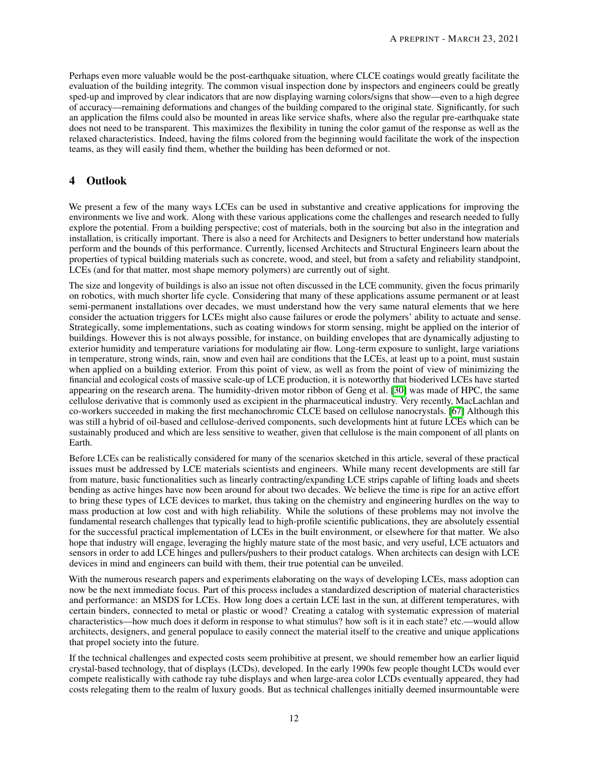Perhaps even more valuable would be the post-earthquake situation, where CLCE coatings would greatly facilitate the evaluation of the building integrity. The common visual inspection done by inspectors and engineers could be greatly sped-up and improved by clear indicators that are now displaying warning colors/signs that show—even to a high degree of accuracy—remaining deformations and changes of the building compared to the original state. Significantly, for such an application the films could also be mounted in areas like service shafts, where also the regular pre-earthquake state does not need to be transparent. This maximizes the flexibility in tuning the color gamut of the response as well as the relaxed characteristics. Indeed, having the films colored from the beginning would facilitate the work of the inspection teams, as they will easily find them, whether the building has been deformed or not.

## 4 Outlook

We present a few of the many ways LCEs can be used in substantive and creative applications for improving the environments we live and work. Along with these various applications come the challenges and research needed to fully explore the potential. From a building perspective; cost of materials, both in the sourcing but also in the integration and installation, is critically important. There is also a need for Architects and Designers to better understand how materials perform and the bounds of this performance. Currently, licensed Architects and Structural Engineers learn about the properties of typical building materials such as concrete, wood, and steel, but from a safety and reliability standpoint, LCEs (and for that matter, most shape memory polymers) are currently out of sight.

The size and longevity of buildings is also an issue not often discussed in the LCE community, given the focus primarily on robotics, with much shorter life cycle. Considering that many of these applications assume permanent or at least semi-permanent installations over decades, we must understand how the very same natural elements that we here consider the actuation triggers for LCEs might also cause failures or erode the polymers' ability to actuate and sense. Strategically, some implementations, such as coating windows for storm sensing, might be applied on the interior of buildings. However this is not always possible, for instance, on building envelopes that are dynamically adjusting to exterior humidity and temperature variations for modulating air flow. Long-term exposure to sunlight, large variations in temperature, strong winds, rain, snow and even hail are conditions that the LCEs, at least up to a point, must sustain when applied on a building exterior. From this point of view, as well as from the point of view of minimizing the financial and ecological costs of massive scale-up of LCE production, it is noteworthy that bioderived LCEs have started appearing on the research arena. The humidity-driven motor ribbon of Geng et al. [\[30\]](#page-13-5) was made of HPC, the same cellulose derivative that is commonly used as excipient in the pharmaceutical industry. Very recently, MacLachlan and co-workers succeeded in making the first mechanochromic CLCE based on cellulose nanocrystals. [\[67\]](#page-15-3) Although this was still a hybrid of oil-based and cellulose-derived components, such developments hint at future LCEs which can be sustainably produced and which are less sensitive to weather, given that cellulose is the main component of all plants on Earth.

Before LCEs can be realistically considered for many of the scenarios sketched in this article, several of these practical issues must be addressed by LCE materials scientists and engineers. While many recent developments are still far from mature, basic functionalities such as linearly contracting/expanding LCE strips capable of lifting loads and sheets bending as active hinges have now been around for about two decades. We believe the time is ripe for an active effort to bring these types of LCE devices to market, thus taking on the chemistry and engineering hurdles on the way to mass production at low cost and with high reliability. While the solutions of these problems may not involve the fundamental research challenges that typically lead to high-profile scientific publications, they are absolutely essential for the successful practical implementation of LCEs in the built environment, or elsewhere for that matter. We also hope that industry will engage, leveraging the highly mature state of the most basic, and very useful, LCE actuators and sensors in order to add LCE hinges and pullers/pushers to their product catalogs. When architects can design with LCE devices in mind and engineers can build with them, their true potential can be unveiled.

With the numerous research papers and experiments elaborating on the ways of developing LCEs, mass adoption can now be the next immediate focus. Part of this process includes a standardized description of material characteristics and performance: an MSDS for LCEs. How long does a certain LCE last in the sun, at different temperatures, with certain binders, connected to metal or plastic or wood? Creating a catalog with systematic expression of material characteristics—how much does it deform in response to what stimulus? how soft is it in each state? etc.—would allow architects, designers, and general populace to easily connect the material itself to the creative and unique applications that propel society into the future.

If the technical challenges and expected costs seem prohibitive at present, we should remember how an earlier liquid crystal-based technology, that of displays (LCDs), developed. In the early 1990s few people thought LCDs would ever compete realistically with cathode ray tube displays and when large-area color LCDs eventually appeared, they had costs relegating them to the realm of luxury goods. But as technical challenges initially deemed insurmountable were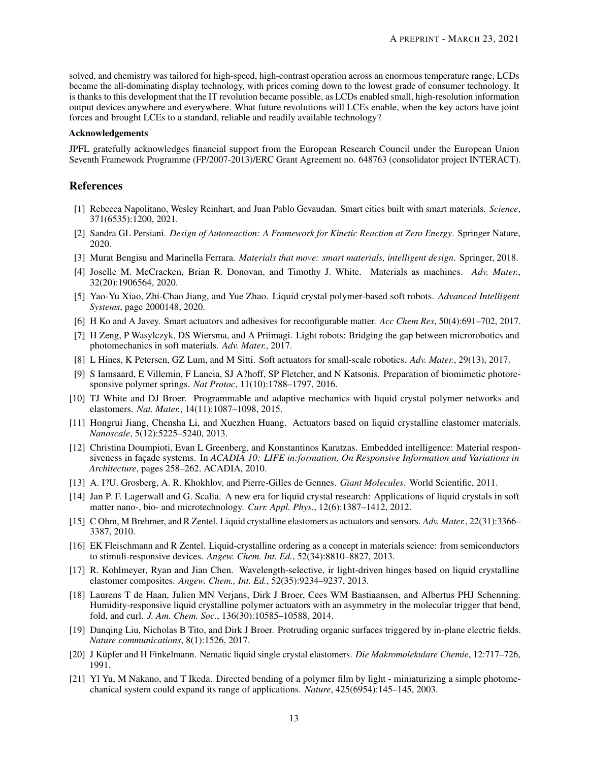solved, and chemistry was tailored for high-speed, high-contrast operation across an enormous temperature range, LCDs became the all-dominating display technology, with prices coming down to the lowest grade of consumer technology. It is thanks to this development that the IT revolution became possible, as LCDs enabled small, high-resolution information output devices anywhere and everywhere. What future revolutions will LCEs enable, when the key actors have joint forces and brought LCEs to a standard, reliable and readily available technology?

#### Acknowledgements

JPFL gratefully acknowledges financial support from the European Research Council under the European Union Seventh Framework Programme (FP/2007-2013)/ERC Grant Agreement no. 648763 (consolidator project INTERACT).

## References

- <span id="page-12-0"></span>[1] Rebecca Napolitano, Wesley Reinhart, and Juan Pablo Gevaudan. Smart cities built with smart materials. *Science*, 371(6535):1200, 2021.
- <span id="page-12-1"></span>[2] Sandra GL Persiani. *Design of Autoreaction: A Framework for Kinetic Reaction at Zero Energy*. Springer Nature, 2020.
- <span id="page-12-2"></span>[3] Murat Bengisu and Marinella Ferrara. *Materials that move: smart materials, intelligent design*. Springer, 2018.
- <span id="page-12-3"></span>[4] Joselle M. McCracken, Brian R. Donovan, and Timothy J. White. Materials as machines. *Adv. Mater.*, 32(20):1906564, 2020.
- [5] Yao-Yu Xiao, Zhi-Chao Jiang, and Yue Zhao. Liquid crystal polymer-based soft robots. *Advanced Intelligent Systems*, page 2000148, 2020.
- [6] H Ko and A Javey. Smart actuators and adhesives for reconfigurable matter. *Acc Chem Res*, 50(4):691–702, 2017.
- [7] H Zeng, P Wasylczyk, DS Wiersma, and A Priimagi. Light robots: Bridging the gap between microrobotics and photomechanics in soft materials. *Adv. Mater.*, 2017.
- [8] L Hines, K Petersen, GZ Lum, and M Sitti. Soft actuators for small-scale robotics. *Adv. Mater.*, 29(13), 2017.
- [9] S Iamsaard, E Villemin, F Lancia, SJ A?hoff, SP Fletcher, and N Katsonis. Preparation of biomimetic photoresponsive polymer springs. *Nat Protoc*, 11(10):1788–1797, 2016.
- [10] TJ White and DJ Broer. Programmable and adaptive mechanics with liquid crystal polymer networks and elastomers. *Nat. Mater.*, 14(11):1087–1098, 2015.
- <span id="page-12-4"></span>[11] Hongrui Jiang, Chensha Li, and Xuezhen Huang. Actuators based on liquid crystalline elastomer materials. *Nanoscale*, 5(12):5225–5240, 2013.
- <span id="page-12-5"></span>[12] Christina Doumpioti, Evan L Greenberg, and Konstantinos Karatzas. Embedded intelligence: Material responsiveness in façade systems. In *ACADIA 10: LIFE in:formation, On Responsive Information and Variations in Architecture*, pages 258–262. ACADIA, 2010.
- <span id="page-12-6"></span>[13] A. I?U. Grosberg, A. R. Khokhlov, and Pierre-Gilles de Gennes. *Giant Molecules*. World Scientific, 2011.
- <span id="page-12-7"></span>[14] Jan P. F. Lagerwall and G. Scalia. A new era for liquid crystal research: Applications of liquid crystals in soft matter nano-, bio- and microtechnology. *Curr. Appl. Phys.*, 12(6):1387–1412, 2012.
- <span id="page-12-8"></span>[15] C Ohm, M Brehmer, and R Zentel. Liquid crystalline elastomers as actuators and sensors. *Adv. Mater.*, 22(31):3366– 3387, 2010.
- <span id="page-12-9"></span>[16] EK Fleischmann and R Zentel. Liquid-crystalline ordering as a concept in materials science: from semiconductors to stimuli-responsive devices. *Angew. Chem. Int. Ed.*, 52(34):8810–8827, 2013.
- <span id="page-12-10"></span>[17] R. Kohlmeyer, Ryan and Jian Chen. Wavelength-selective, ir light-driven hinges based on liquid crystalline elastomer composites. *Angew. Chem., Int. Ed.*, 52(35):9234–9237, 2013.
- <span id="page-12-11"></span>[18] Laurens T de Haan, Julien MN Verjans, Dirk J Broer, Cees WM Bastiaansen, and Albertus PHJ Schenning. Humidity-responsive liquid crystalline polymer actuators with an asymmetry in the molecular trigger that bend, fold, and curl. *J. Am. Chem. Soc.*, 136(30):10585–10588, 2014.
- <span id="page-12-12"></span>[19] Danqing Liu, Nicholas B Tito, and Dirk J Broer. Protruding organic surfaces triggered by in-plane electric fields. *Nature communications*, 8(1):1526, 2017.
- <span id="page-12-13"></span>[20] J Küpfer and H Finkelmann. Nematic liquid single crystal elastomers. *Die Makromolekulare Chemie*, 12:717–726, 1991.
- <span id="page-12-14"></span>[21] Yl Yu, M Nakano, and T Ikeda. Directed bending of a polymer film by light - miniaturizing a simple photomechanical system could expand its range of applications. *Nature*, 425(6954):145–145, 2003.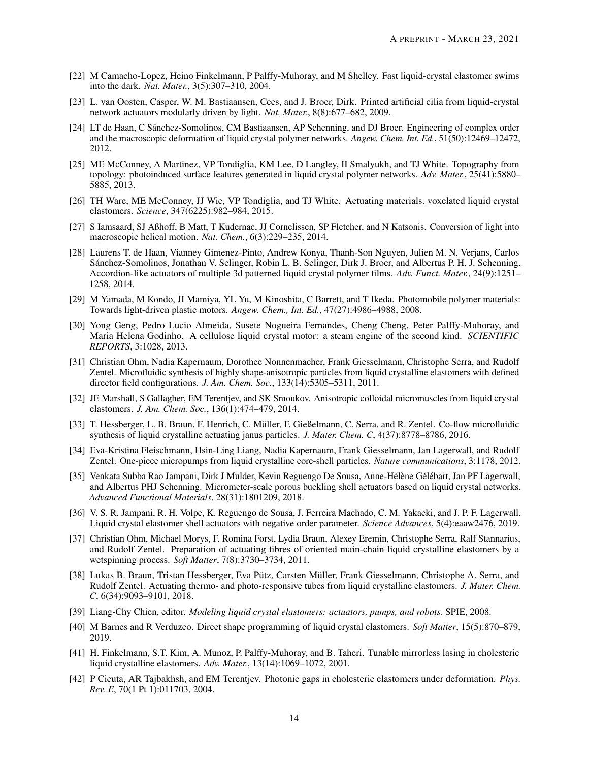- <span id="page-13-0"></span>[22] M Camacho-Lopez, Heino Finkelmann, P Palffy-Muhoray, and M Shelley. Fast liquid-crystal elastomer swims into the dark. *Nat. Mater.*, 3(5):307–310, 2004.
- <span id="page-13-1"></span>[23] L. van Oosten, Casper, W. M. Bastiaansen, Cees, and J. Broer, Dirk. Printed artificial cilia from liquid-crystal network actuators modularly driven by light. *Nat. Mater.*, 8(8):677–682, 2009.
- <span id="page-13-2"></span>[24] LT de Haan, C Sánchez-Somolinos, CM Bastiaansen, AP Schenning, and DJ Broer. Engineering of complex order and the macroscopic deformation of liquid crystal polymer networks. *Angew. Chem. Int. Ed.*, 51(50):12469–12472, 2012.
- [25] ME McConney, A Martinez, VP Tondiglia, KM Lee, D Langley, II Smalyukh, and TJ White. Topography from topology: photoinduced surface features generated in liquid crystal polymer networks. *Adv. Mater.*, 25(41):5880– 5885, 2013.
- [26] TH Ware, ME McConney, JJ Wie, VP Tondiglia, and TJ White. Actuating materials. voxelated liquid crystal elastomers. *Science*, 347(6225):982–984, 2015.
- [27] S Iamsaard, SJ Aßhoff, B Matt, T Kudernac, JJ Cornelissen, SP Fletcher, and N Katsonis. Conversion of light into macroscopic helical motion. *Nat. Chem.*, 6(3):229–235, 2014.
- <span id="page-13-3"></span>[28] Laurens T. de Haan, Vianney Gimenez-Pinto, Andrew Konya, Thanh-Son Nguyen, Julien M. N. Verjans, Carlos Sánchez-Somolinos, Jonathan V. Selinger, Robin L. B. Selinger, Dirk J. Broer, and Albertus P. H. J. Schenning. Accordion-like actuators of multiple 3d patterned liquid crystal polymer films. *Adv. Funct. Mater.*, 24(9):1251– 1258, 2014.
- <span id="page-13-4"></span>[29] M Yamada, M Kondo, JI Mamiya, YL Yu, M Kinoshita, C Barrett, and T Ikeda. Photomobile polymer materials: Towards light-driven plastic motors. *Angew. Chem., Int. Ed.*, 47(27):4986–4988, 2008.
- <span id="page-13-5"></span>[30] Yong Geng, Pedro Lucio Almeida, Susete Nogueira Fernandes, Cheng Cheng, Peter Palffy-Muhoray, and Maria Helena Godinho. A cellulose liquid crystal motor: a steam engine of the second kind. *SCIENTIFIC REPORTS*, 3:1028, 2013.
- <span id="page-13-6"></span>[31] Christian Ohm, Nadia Kapernaum, Dorothee Nonnenmacher, Frank Giesselmann, Christophe Serra, and Rudolf Zentel. Microfluidic synthesis of highly shape-anisotropic particles from liquid crystalline elastomers with defined director field configurations. *J. Am. Chem. Soc.*, 133(14):5305–5311, 2011.
- <span id="page-13-7"></span>[32] JE Marshall, S Gallagher, EM Terentjev, and SK Smoukov. Anisotropic colloidal micromuscles from liquid crystal elastomers. *J. Am. Chem. Soc.*, 136(1):474–479, 2014.
- <span id="page-13-8"></span>[33] T. Hessberger, L. B. Braun, F. Henrich, C. Müller, F. Gießelmann, C. Serra, and R. Zentel. Co-flow microfluidic synthesis of liquid crystalline actuating janus particles. *J. Mater. Chem. C*, 4(37):8778–8786, 2016.
- <span id="page-13-9"></span>[34] Eva-Kristina Fleischmann, Hsin-Ling Liang, Nadia Kapernaum, Frank Giesselmann, Jan Lagerwall, and Rudolf Zentel. One-piece micropumps from liquid crystalline core-shell particles. *Nature communications*, 3:1178, 2012.
- <span id="page-13-16"></span>[35] Venkata Subba Rao Jampani, Dirk J Mulder, Kevin Reguengo De Sousa, Anne-Hélène Gélébart, Jan PF Lagerwall, and Albertus PHJ Schenning. Micrometer-scale porous buckling shell actuators based on liquid crystal networks. *Advanced Functional Materials*, 28(31):1801209, 2018.
- <span id="page-13-10"></span>[36] V. S. R. Jampani, R. H. Volpe, K. Reguengo de Sousa, J. Ferreira Machado, C. M. Yakacki, and J. P. F. Lagerwall. Liquid crystal elastomer shell actuators with negative order parameter. *Science Advances*, 5(4):eaaw2476, 2019.
- <span id="page-13-11"></span>[37] Christian Ohm, Michael Morys, F. Romina Forst, Lydia Braun, Alexey Eremin, Christophe Serra, Ralf Stannarius, and Rudolf Zentel. Preparation of actuating fibres of oriented main-chain liquid crystalline elastomers by a wetspinning process. *Soft Matter*, 7(8):3730–3734, 2011.
- <span id="page-13-12"></span>[38] Lukas B. Braun, Tristan Hessberger, Eva Pütz, Carsten Müller, Frank Giesselmann, Christophe A. Serra, and Rudolf Zentel. Actuating thermo- and photo-responsive tubes from liquid crystalline elastomers. *J. Mater. Chem. C*, 6(34):9093–9101, 2018.
- <span id="page-13-13"></span>[39] Liang-Chy Chien, editor. *Modeling liquid crystal elastomers: actuators, pumps, and robots*. SPIE, 2008.
- <span id="page-13-14"></span>[40] M Barnes and R Verduzco. Direct shape programming of liquid crystal elastomers. *Soft Matter*, 15(5):870–879, 2019.
- <span id="page-13-15"></span>[41] H. Finkelmann, S.T. Kim, A. Munoz, P. Palffy-Muhoray, and B. Taheri. Tunable mirrorless lasing in cholesteric liquid crystalline elastomers. *Adv. Mater.*, 13(14):1069–1072, 2001.
- [42] P Cicuta, AR Tajbakhsh, and EM Terentjev. Photonic gaps in cholesteric elastomers under deformation. *Phys. Rev. E*, 70(1 Pt 1):011703, 2004.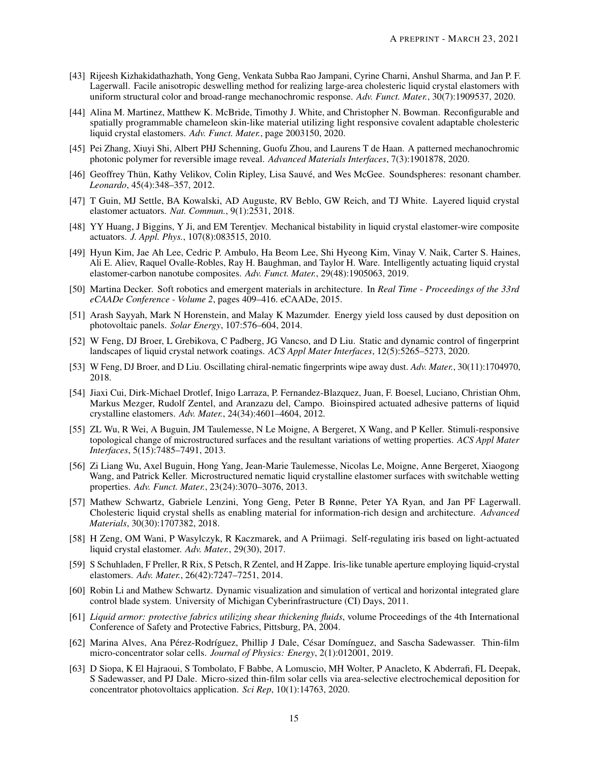- <span id="page-14-0"></span>[43] Rijeesh Kizhakidathazhath, Yong Geng, Venkata Subba Rao Jampani, Cyrine Charni, Anshul Sharma, and Jan P. F. Lagerwall. Facile anisotropic deswelling method for realizing large-area cholesteric liquid crystal elastomers with uniform structural color and broad-range mechanochromic response. *Adv. Funct. Mater.*, 30(7):1909537, 2020.
- <span id="page-14-1"></span>[44] Alina M. Martinez, Matthew K. McBride, Timothy J. White, and Christopher N. Bowman. Reconfigurable and spatially programmable chameleon skin-like material utilizing light responsive covalent adaptable cholesteric liquid crystal elastomers. *Adv. Funct. Mater.*, page 2003150, 2020.
- <span id="page-14-2"></span>[45] Pei Zhang, Xiuyi Shi, Albert PHJ Schenning, Guofu Zhou, and Laurens T de Haan. A patterned mechanochromic photonic polymer for reversible image reveal. *Advanced Materials Interfaces*, 7(3):1901878, 2020.
- <span id="page-14-3"></span>[46] Geoffrey Thün, Kathy Velikov, Colin Ripley, Lisa Sauvé, and Wes McGee. Soundspheres: resonant chamber. *Leonardo*, 45(4):348–357, 2012.
- <span id="page-14-4"></span>[47] T Guin, MJ Settle, BA Kowalski, AD Auguste, RV Beblo, GW Reich, and TJ White. Layered liquid crystal elastomer actuators. *Nat. Commun.*, 9(1):2531, 2018.
- <span id="page-14-5"></span>[48] YY Huang, J Biggins, Y Ji, and EM Terentjev. Mechanical bistability in liquid crystal elastomer-wire composite actuators. *J. Appl. Phys.*, 107(8):083515, 2010.
- <span id="page-14-6"></span>[49] Hyun Kim, Jae Ah Lee, Cedric P. Ambulo, Ha Beom Lee, Shi Hyeong Kim, Vinay V. Naik, Carter S. Haines, Ali E. Aliev, Raquel Ovalle-Robles, Ray H. Baughman, and Taylor H. Ware. Intelligently actuating liquid crystal elastomer-carbon nanotube composites. *Adv. Funct. Mater.*, 29(48):1905063, 2019.
- <span id="page-14-7"></span>[50] Martina Decker. Soft robotics and emergent materials in architecture. In *Real Time - Proceedings of the 33rd eCAADe Conference - Volume 2*, pages 409–416. eCAADe, 2015.
- <span id="page-14-8"></span>[51] Arash Sayyah, Mark N Horenstein, and Malay K Mazumder. Energy yield loss caused by dust deposition on photovoltaic panels. *Solar Energy*, 107:576–604, 2014.
- <span id="page-14-9"></span>[52] W Feng, DJ Broer, L Grebikova, C Padberg, JG Vancso, and D Liu. Static and dynamic control of fingerprint landscapes of liquid crystal network coatings. *ACS Appl Mater Interfaces*, 12(5):5265–5273, 2020.
- <span id="page-14-10"></span>[53] W Feng, DJ Broer, and D Liu. Oscillating chiral-nematic fingerprints wipe away dust. *Adv. Mater.*, 30(11):1704970, 2018.
- <span id="page-14-11"></span>[54] Jiaxi Cui, Dirk-Michael Drotlef, Inigo Larraza, P. Fernandez-Blazquez, Juan, F. Boesel, Luciano, Christian Ohm, Markus Mezger, Rudolf Zentel, and Aranzazu del, Campo. Bioinspired actuated adhesive patterns of liquid crystalline elastomers. *Adv. Mater.*, 24(34):4601–4604, 2012.
- <span id="page-14-13"></span>[55] ZL Wu, R Wei, A Buguin, JM Taulemesse, N Le Moigne, A Bergeret, X Wang, and P Keller. Stimuli-responsive topological change of microstructured surfaces and the resultant variations of wetting properties. *ACS Appl Mater Interfaces*, 5(15):7485–7491, 2013.
- <span id="page-14-12"></span>[56] Zi Liang Wu, Axel Buguin, Hong Yang, Jean-Marie Taulemesse, Nicolas Le, Moigne, Anne Bergeret, Xiaogong Wang, and Patrick Keller. Microstructured nematic liquid crystalline elastomer surfaces with switchable wetting properties. *Adv. Funct. Mater.*, 23(24):3070–3076, 2013.
- <span id="page-14-14"></span>[57] Mathew Schwartz, Gabriele Lenzini, Yong Geng, Peter B Rønne, Peter YA Ryan, and Jan PF Lagerwall. Cholesteric liquid crystal shells as enabling material for information-rich design and architecture. *Advanced Materials*, 30(30):1707382, 2018.
- <span id="page-14-15"></span>[58] H Zeng, OM Wani, P Wasylczyk, R Kaczmarek, and A Priimagi. Self-regulating iris based on light-actuated liquid crystal elastomer. *Adv. Mater.*, 29(30), 2017.
- <span id="page-14-16"></span>[59] S Schuhladen, F Preller, R Rix, S Petsch, R Zentel, and H Zappe. Iris-like tunable aperture employing liquid-crystal elastomers. *Adv. Mater.*, 26(42):7247–7251, 2014.
- <span id="page-14-17"></span>[60] Robin Li and Mathew Schwartz. Dynamic visualization and simulation of vertical and horizontal integrated glare control blade system. University of Michigan Cyberinfrastructure (CI) Days, 2011.
- <span id="page-14-18"></span>[61] *Liquid armor: protective fabrics utilizing shear thickening fluids*, volume Proceedings of the 4th International Conference of Safety and Protective Fabrics, Pittsburg, PA, 2004.
- <span id="page-14-19"></span>[62] Marina Alves, Ana Pérez-Rodríguez, Phillip J Dale, César Domínguez, and Sascha Sadewasser. Thin-film micro-concentrator solar cells. *Journal of Physics: Energy*, 2(1):012001, 2019.
- <span id="page-14-20"></span>[63] D Siopa, K El Hajraoui, S Tombolato, F Babbe, A Lomuscio, MH Wolter, P Anacleto, K Abderrafi, FL Deepak, S Sadewasser, and PJ Dale. Micro-sized thin-film solar cells via area-selective electrochemical deposition for concentrator photovoltaics application. *Sci Rep*, 10(1):14763, 2020.